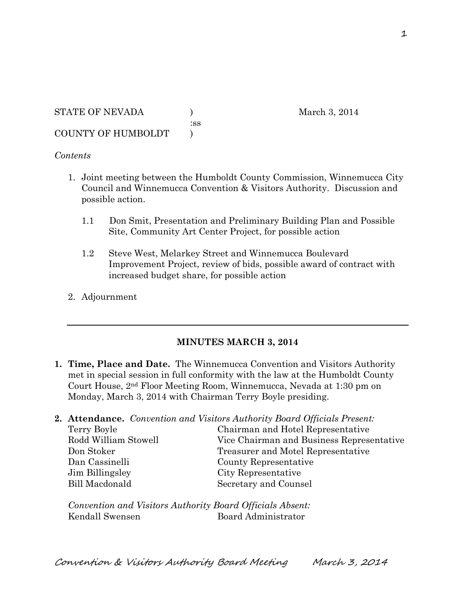#### *Contents*

1. Joint meeting between the Humboldt County Commission, Winnemucca City Council and Winnemucca Convention & Visitors Authority. Discussion and possible action.

:ss

- 1.1 Don Smit, Presentation and Preliminary Building Plan and Possible Site, Community Art Center Project, for possible action
- 1.2 Steve West, Melarkey Street and Winnemucca Boulevard Improvement Project, review of bids, possible award of contract with increased budget share, for possible action
- 2. Adjournment

### **MINUTES MARCH 3, 2014**

**1. Time, Place and Date.** The Winnemucca Convention and Visitors Authority met in special session in full conformity with the law at the Humboldt County Court House, 2nd Floor Meeting Room, Winnemucca, Nevada at 1:30 pm on Monday, March 3, 2014 with Chairman Terry Boyle presiding.

|                      | <b>2. Attendance.</b> Convention and Visitors Authority Board Officials Present: |
|----------------------|----------------------------------------------------------------------------------|
| Terry Boyle          | Chairman and Hotel Representative                                                |
| Rodd William Stowell | Vice Chairman and Business Representative                                        |
| Don Stoker           | Treasurer and Motel Representative                                               |
| Dan Cassinelli       | County Representative                                                            |
| Jim Billingsley      | City Representative                                                              |
| Bill Macdonald       | Secretary and Counsel                                                            |
|                      |                                                                                  |

*Convention and Visitors Authority Board Officials Absent:* Kendall Swensen Board Administrator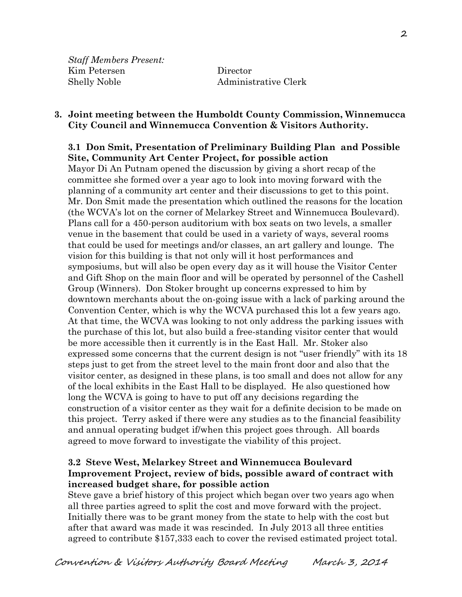*Staff Members Present:* Kim Petersen Director Shelly Noble Administrative Clerk

#### **3. Joint meeting between the Humboldt County Commission, Winnemucca City Council and Winnemucca Convention & Visitors Authority.**

### **3.1 Don Smit, Presentation of Preliminary Building Plan and Possible Site, Community Art Center Project, for possible action**

Mayor Di An Putnam opened the discussion by giving a short recap of the committee she formed over a year ago to look into moving forward with the planning of a community art center and their discussions to get to this point. Mr. Don Smit made the presentation which outlined the reasons for the location (the WCVA's lot on the corner of Melarkey Street and Winnemucca Boulevard). Plans call for a 450-person auditorium with box seats on two levels, a smaller venue in the basement that could be used in a variety of ways, several rooms that could be used for meetings and/or classes, an art gallery and lounge. The vision for this building is that not only will it host performances and symposiums, but will also be open every day as it will house the Visitor Center and Gift Shop on the main floor and will be operated by personnel of the Cashell Group (Winners). Don Stoker brought up concerns expressed to him by downtown merchants about the on-going issue with a lack of parking around the Convention Center, which is why the WCVA purchased this lot a few years ago. At that time, the WCVA was looking to not only address the parking issues with the purchase of this lot, but also build a free-standing visitor center that would be more accessible then it currently is in the East Hall. Mr. Stoker also expressed some concerns that the current design is not "user friendly" with its 18 steps just to get from the street level to the main front door and also that the visitor center, as designed in these plans, is too small and does not allow for any of the local exhibits in the East Hall to be displayed. He also questioned how long the WCVA is going to have to put off any decisions regarding the construction of a visitor center as they wait for a definite decision to be made on this project. Terry asked if there were any studies as to the financial feasibility and annual operating budget if/when this project goes through. All boards agreed to move forward to investigate the viability of this project.

# **3.2 Steve West, Melarkey Street and Winnemucca Boulevard Improvement Project, review of bids, possible award of contract with increased budget share, for possible action**

Steve gave a brief history of this project which began over two years ago when all three parties agreed to split the cost and move forward with the project. Initially there was to be grant money from the state to help with the cost but after that award was made it was rescinded. In July 2013 all three entities agreed to contribute \$157,333 each to cover the revised estimated project total.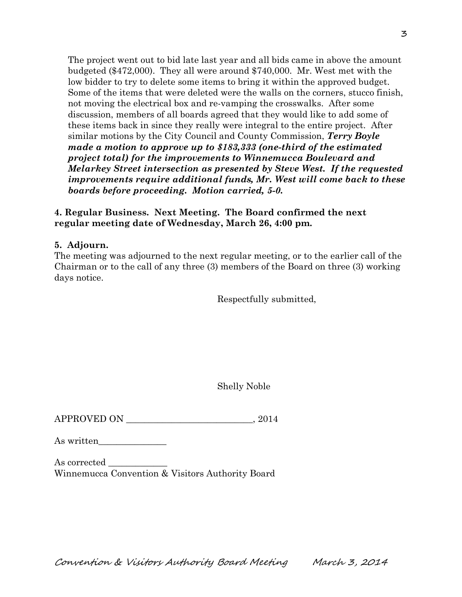The project went out to bid late last year and all bids came in above the amount budgeted (\$472,000). They all were around \$740,000. Mr. West met with the low bidder to try to delete some items to bring it within the approved budget. Some of the items that were deleted were the walls on the corners, stucco finish, not moving the electrical box and re-vamping the crosswalks. After some discussion, members of all boards agreed that they would like to add some of these items back in since they really were integral to the entire project. After similar motions by the City Council and County Commission, *Terry Boyle made a motion to approve up to \$183,333 (one-third of the estimated project total) for the improvements to Winnemucca Boulevard and Melarkey Street intersection as presented by Steve West. If the requested improvements require additional funds, Mr. West will come back to these boards before proceeding. Motion carried, 5-0.*

## **4. Regular Business. Next Meeting. The Board confirmed the next regular meeting date of Wednesday, March 26, 4:00 pm.**

# **5. Adjourn.**

The meeting was adjourned to the next regular meeting, or to the earlier call of the Chairman or to the call of any three (3) members of the Board on three (3) working days notice.

Respectfully submitted,

Shelly Noble

 $APPROVED ON$   $.2014$ 

As written\_\_\_\_\_\_\_\_\_\_\_\_\_\_\_

| As corrected                                     |  |  |  |
|--------------------------------------------------|--|--|--|
| Winnemucca Convention & Visitors Authority Board |  |  |  |

Convention & Visitors Authority Board Meeting March 3, 2014